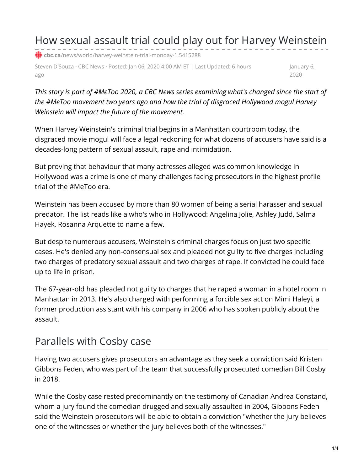How sexual assault trial could play out for Harvey Weinstein

**cbc.ca**[/news/world/harvey-weinstein-trial-monday-1.5415288](https://www.cbc.ca/news/world/harvey-weinstein-trial-monday-1.5415288)

Steven D'Souza · CBC News · Posted: Jan 06, 2020 4:00 AM ET | Last Updated: 6 hours ago

January 6, 2020

*This story is part of #MeToo 2020, a CBC News series examining what's changed since the start of the #MeToo movement two years ago and how the trial of disgraced Hollywood mogul Harvey Weinstein will impact the future of the movement.*

When Harvey Weinstein's criminal trial begins in a Manhattan courtroom today, the disgraced movie mogul will face a legal reckoning for what dozens of accusers have said is a decades-long pattern of sexual assault, rape and intimidation.

But proving that behaviour that many actresses alleged was common knowledge in Hollywood was a crime is one of many challenges facing prosecutors in the highest profile trial of the #MeToo era.

Weinstein has been accused by more than 80 women of being a serial harasser and sexual predator. The list reads like a who's who in Hollywood: Angelina Jolie, Ashley Judd, Salma Hayek, Rosanna Arquette to name a few.

But despite numerous accusers, Weinstein's criminal charges focus on just two specific cases. He's denied any non-consensual sex and pleaded not guilty to five charges including two charges of predatory sexual assault and two charges of rape. If convicted he could face up to life in prison.

The 67-year-old has pleaded not guilty to charges that he raped a woman in a hotel room in Manhattan in 2013. He's also charged with performing a forcible sex act on Mimi Haleyi, a former production assistant with his company in 2006 who has spoken publicly about the assault.

## Parallels with Cosby case

Having two accusers gives prosecutors an advantage as they seek a conviction said Kristen Gibbons Feden, who was part of the team that successfully prosecuted comedian Bill Cosby in 2018.

While the Cosby case rested predominantly on the testimony of Canadian Andrea Constand, whom a jury found the comedian drugged and sexually assaulted in 2004, Gibbons Feden said the Weinstein prosecutors will be able to obtain a conviction "whether the jury believes one of the witnesses or whether the jury believes both of the witnesses."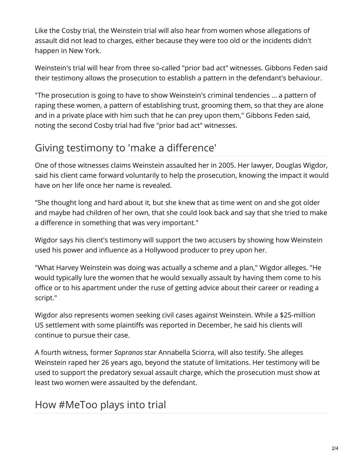Like the Cosby trial, the Weinstein trial will also hear from women whose allegations of assault did not lead to charges, either because they were too old or the incidents didn't happen in New York.

Weinstein's trial will hear from three so-called "prior bad act" witnesses. Gibbons Feden said their testimony allows the prosecution to establish a pattern in the defendant's behaviour.

"The prosecution is going to have to show Weinstein's criminal tendencies … a pattern of raping these women, a pattern of establishing trust, grooming them, so that they are alone and in a private place with him such that he can prey upon them," Gibbons Feden said, noting the second Cosby trial had five "prior bad act" witnesses.

## Giving testimony to 'make a difference'

One of those witnesses claims Weinstein assaulted her in 2005. Her lawyer, Douglas Wigdor, said his client came forward voluntarily to help the prosecution, knowing the impact it would have on her life once her name is revealed.

"She thought long and hard about it, but she knew that as time went on and she got older and maybe had children of her own, that she could look back and say that she tried to make a difference in something that was very important."

Wigdor says his client's testimony will support the two accusers by showing how Weinstein used his power and influence as a Hollywood producer to prey upon her.

"What Harvey Weinstein was doing was actually a scheme and a plan," Wigdor alleges. "He would typically lure the women that he would sexually assault by having them come to his office or to his apartment under the ruse of getting advice about their career or reading a script."

Wigdor also represents women seeking civil cases against Weinstein. While a \$25-million US settlement with some plaintiffs was reported in December, he said his clients will continue to pursue their case.

A fourth witness, former *Sopranos* star Annabella Sciorra, will also testify. She alleges Weinstein raped her 26 years ago, beyond the statute of limitations. Her testimony will be used to support the predatory sexual assault charge, which the prosecution must show at least two women were assaulted by the defendant.

## How #MeToo plays into trial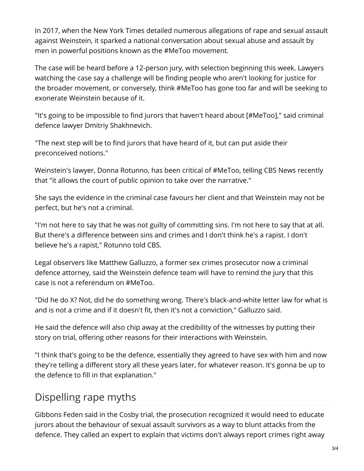In 2017, when the New York Times detailed numerous allegations of rape and sexual assault against Weinstein, it sparked a national conversation about sexual abuse and assault by men in powerful positions known as the #MeToo movement.

The case will be heard before a 12-person jury, with selection beginning this week. Lawyers watching the case say a challenge will be finding people who aren't looking for justice for the broader movement, or conversely, think #MeToo has gone too far and will be seeking to exonerate Weinstein because of it.

"It's going to be impossible to find jurors that haven't heard about [#MeToo]," said criminal defence lawyer Dmitriy Shakhnevich.

"The next step will be to find jurors that have heard of it, but can put aside their preconceived notions."

Weinstein's lawyer, Donna Rotunno, has been critical of #MeToo, telling CBS News recently that "it allows the court of public opinion to take over the narrative."

She says the evidence in the criminal case favours her client and that Weinstein may not be perfect, but he's not a criminal.

"I'm not here to say that he was not guilty of committing sins. I'm not here to say that at all. But there's a difference between sins and crimes and I don't think he's a rapist. I don't believe he's a rapist," Rotunno told CBS.

Legal observers like Matthew Galluzzo, a former sex crimes prosecutor now a criminal defence attorney, said the Weinstein defence team will have to remind the jury that this case is not a referendum on #MeToo.

"Did he do X? Not, did he do something wrong. There's black-and-white letter law for what is and is not a crime and if it doesn't fit, then it's not a conviction," Galluzzo said.

He said the defence will also chip away at the credibility of the witnesses by putting their story on trial, offering other reasons for their interactions with Weinstein.

"I think that's going to be the defence, essentially they agreed to have sex with him and now they're telling a different story all these years later, for whatever reason. It's gonna be up to the defence to fill in that explanation."

## Dispelling rape myths

Gibbons Feden said in the Cosby trial, the prosecution recognized it would need to educate jurors about the behaviour of sexual assault survivors as a way to blunt attacks from the defence. They called an expert to explain that victims don't always report crimes right away